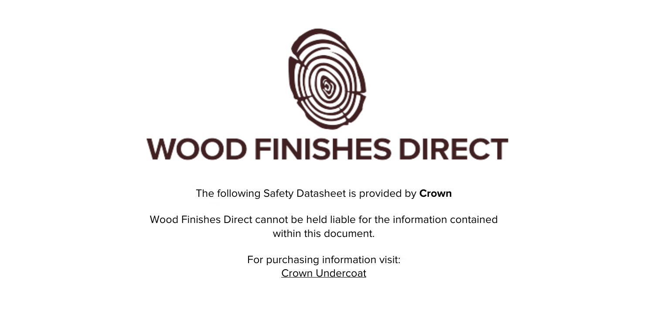

The following Safety Datasheet is provided by **Crown**

Wood Finishes Direct cannot be held liable for the information contained within this document

> For purchasing information visit: [Crown Undercoat](https://www.wood-finishes-direct.com/product/crown-undercoat)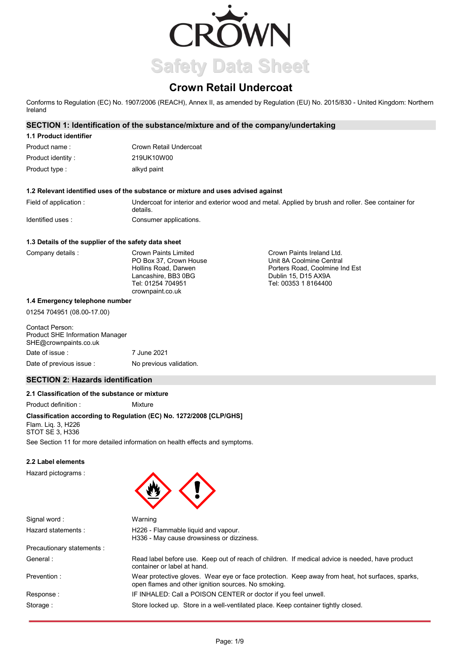

# **Crown Retail Undercoat**

Conforms to Regulation (EC) No. 1907/2006 (REACH), Annex II, as amended by Regulation (EU) No. 2015/830 - United Kingdom: Northern Ireland

# **SECTION 1: Identification of the substance/mixture and of the company/undertaking**

# **1.1 Product identifier**

| Product name:      | Crown Retail Undercoat |
|--------------------|------------------------|
| Product identity : | 219UK10W00             |
| Product type :     | alkyd paint            |

#### **1.2 Relevant identified uses of the substance or mixture and uses advised against**

Field of application : Undercoat for interior and exterior wood and metal. Applied by brush and roller. See container for details. Identified uses : Consumer applications.

### **1.3 Details of the supplier of the safety data sheet**

| Company details | <b>Crown Paints Limited</b> | Crown Paints Ireland Ltd.      |
|-----------------|-----------------------------|--------------------------------|
|                 | PO Box 37. Crown House      | Unit 8A Coolmine Central       |
|                 | Hollins Road, Darwen        | Porters Road, Coolmine Ind Est |
|                 | Lancashire, BB3 0BG         | Dublin 15, D15 AX9A            |
|                 | Tel: 01254 704951           | Tel: 00353 1 8164400           |
|                 | crownpaint.co.uk            |                                |

#### **1.4 Emergency telephone number**

01254 704951 (08.00-17.00)

# Contact Person: Product SHE Information Manager SHE@crownpaints.co.uk Date of issue : 7 June 2021 Date of previous issue : No previous validation.

# **SECTION 2: Hazards identification**

# **2.1 Classification of the substance or mixture**

Product definition : Mixture

### **Classification according to Regulation (EC) No. 1272/2008 [CLP/GHS]**

Flam. Liq. 3, H226 STOT SE 3, H336

See Section 11 for more detailed information on health effects and symptoms.

### **2.2 Label elements**

Hazard pictograms :



| Signal word:               | Warning                                                                                                                                                |
|----------------------------|--------------------------------------------------------------------------------------------------------------------------------------------------------|
| Hazard statements:         | H226 - Flammable liquid and vapour.<br>H336 - May cause drowsiness or dizziness.                                                                       |
| Precautionary statements : |                                                                                                                                                        |
| General:                   | Read label before use. Keep out of reach of children. If medical advice is needed, have product<br>container or label at hand.                         |
| Prevention:                | Wear protective gloves. Wear eye or face protection. Keep away from heat, hot surfaces, sparks,<br>open flames and other ignition sources. No smoking. |
| Response:                  | IF INHALED: Call a POISON CENTER or doctor if you feel unwell.                                                                                         |
| Storage:                   | Store locked up. Store in a well-ventilated place. Keep container tightly closed.                                                                      |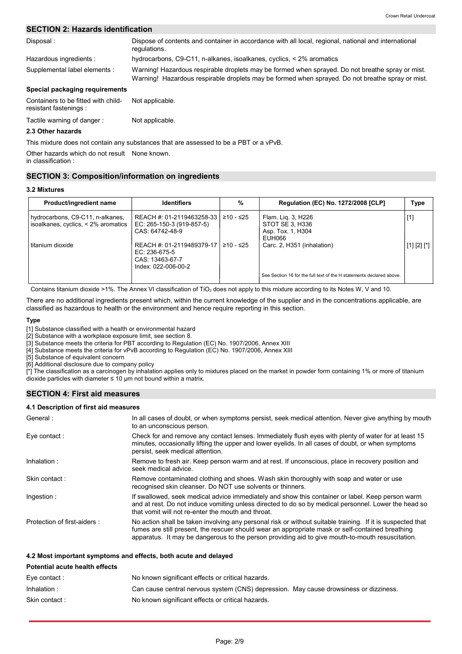# **SECTION 2: Hazards identification**

| Disposal:                                                     | Dispose of contents and container in accordance with all local, regional, national and international<br>regulations.                                                                                 |
|---------------------------------------------------------------|------------------------------------------------------------------------------------------------------------------------------------------------------------------------------------------------------|
| Hazardous ingredients:                                        | hydrocarbons, C9-C11, n-alkanes, isoalkanes, cyclics, < 2% aromatics                                                                                                                                 |
| Supplemental label elements :                                 | Warning! Hazardous respirable droplets may be formed when sprayed. Do not breathe spray or mist.<br>Warning! Hazardous respirable droplets may be formed when sprayed. Do not breathe spray or mist. |
| Special packaging requirements                                |                                                                                                                                                                                                      |
| Containers to be fitted with child-<br>resistant fastenings : | Not applicable.                                                                                                                                                                                      |

#### Tactile warning of danger : Not applicable.

**2.3 Other hazards**

This mixture does not contain any substances that are assessed to be a PBT or a vPvB.

Other hazards which do not result None known.

in classification :

# **SECTION 3: Composition/information on ingredients**

#### **3.2 Mixtures**

| Product/ingredient name                                                 | <b>Identifiers</b>                                                                   | %         | Regulation (EC) No. 1272/2008 [CLP]                                  | Type           |
|-------------------------------------------------------------------------|--------------------------------------------------------------------------------------|-----------|----------------------------------------------------------------------|----------------|
| hydrocarbons, C9-C11, n-alkanes,<br>isoalkanes, cyclics, < 2% aromatics | REACH #: 01-2119463258-33 l<br>EC: 265-150-3 (919-857-5)<br>CAS: 64742-48-9          | ≥10 - ≤25 | Flam. Lig. 3, H226<br>STOT SE 3, H336<br>Asp. Tox. 1, H304<br>EUH066 | $[1]$          |
| titanium dioxide                                                        | REACH #: 01-2119489379-17<br>EC: 236-675-5<br>CAS: 13463-67-7<br>Index: 022-006-00-2 | ≥10 - ≤25 | Carc. 2, H351 (inhalation)                                           | $[1] [2] [^*]$ |
|                                                                         |                                                                                      |           | See Section 16 for the full text of the H statements declared above. |                |

Contains titanium dioxide >1%. The Annex VI classification of TiO<sub>2</sub> does not apply to this mixture according to its Notes W, V and 10.

There are no additional ingredients present which, within the current knowledge of the supplier and in the concentrations applicable, are classified as hazardous to health or the environment and hence require reporting in this section.

#### **Type**

[1] Substance classified with a health or environmental hazard

[2] Substance with a workplace exposure limit, see section 8.

[3] Substance meets the criteria for PBT according to Regulation (EC) No. 1907/2006, Annex XIII

[4] Substance meets the criteria for vPvB according to Regulation (EC) No. 1907/2006, Annex XIII

[5] Substance of equivalent concern

[6] Additional disclosure due to company policy

[\*] The classification as a carcinogen by inhalation applies only to mixtures placed on the market in powder form containing 1% or more of titanium dioxide particles with diameter  $\leq 10$  µm not bound within a matrix.

# **SECTION 4: First aid measures**

#### **4.1 Description of first aid measures**

| General:                    | In all cases of doubt, or when symptoms persist, seek medical attention. Never give anything by mouth<br>to an unconscious person.                                                                                                                                                                                 |
|-----------------------------|--------------------------------------------------------------------------------------------------------------------------------------------------------------------------------------------------------------------------------------------------------------------------------------------------------------------|
| Eye contact:                | Check for and remove any contact lenses. Immediately flush eyes with plenty of water for at least 15<br>minutes, occasionally lifting the upper and lower eyelids. In all cases of doubt, or when symptoms<br>persist, seek medical attention.                                                                     |
| Inhalation:                 | Remove to fresh air. Keep person warm and at rest. If unconscious, place in recovery position and<br>seek medical advice.                                                                                                                                                                                          |
| Skin contact:               | Remove contaminated clothing and shoes. Wash skin thoroughly with soap and water or use<br>recognised skin cleanser. Do NOT use solvents or thinners.                                                                                                                                                              |
| Ingestion:                  | If swallowed, seek medical advice immediately and show this container or label. Keep person warm<br>and at rest. Do not induce vomiting unless directed to do so by medical personnel. Lower the head so<br>that vomit will not re-enter the mouth and throat.                                                     |
| Protection of first-aiders: | No action shall be taken involving any personal risk or without suitable training. If it is suspected that<br>fumes are still present, the rescuer should wear an appropriate mask or self-contained breathing<br>apparatus. It may be dangerous to the person providing aid to give mouth-to-mouth resuscitation. |

#### **4.2 Most important symptoms and effects, both acute and delayed**

| <b>Potential acute health effects</b> |                                                                                       |  |
|---------------------------------------|---------------------------------------------------------------------------------------|--|
| Eve contact :                         | No known significant effects or critical hazards.                                     |  |
| Inhalation:                           | Can cause central nervous system (CNS) depression. May cause drowsiness or dizziness. |  |
| Skin contact:                         | No known significant effects or critical hazards.                                     |  |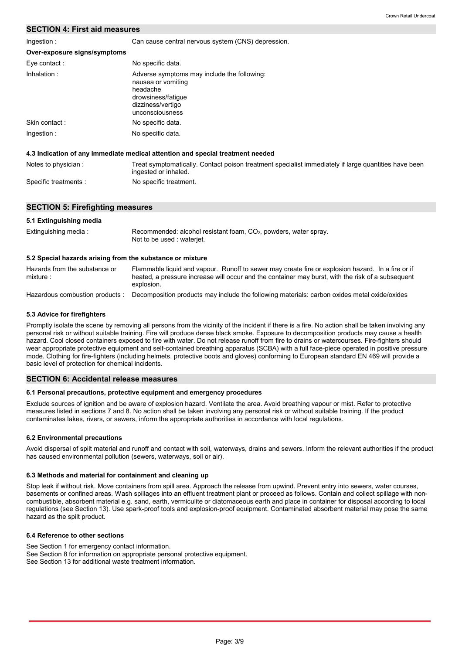# **SECTION 4: First aid measures**

Ingestion :

Can cause central nervous system (CNS) depression.

| 1119001011.                  | <u>Udit cause contrainervous system (UNU) acpression.</u>                                                                                   |
|------------------------------|---------------------------------------------------------------------------------------------------------------------------------------------|
| Over-exposure signs/symptoms |                                                                                                                                             |
| Eye contact:                 | No specific data.                                                                                                                           |
| Inhalation:                  | Adverse symptoms may include the following:<br>nausea or vomiting<br>headache<br>drowsiness/fatique<br>dizziness/vertigo<br>unconsciousness |
| Skin contact:                | No specific data.                                                                                                                           |
| Ingestion:                   | No specific data.                                                                                                                           |
|                              | 4.3 Indication of any immediate medical attention and special treatment needed                                                              |
| Notes to physician:          | Treat symptomatically. Contact poison treatment specialist immediately if large quantities have been<br>ingested or inhaled.                |

Specific treatments : No specific treatment.

# **SECTION 5: Firefighting measures**

| 5.1 Extinguishing media |                                                                                                 |
|-------------------------|-------------------------------------------------------------------------------------------------|
| Extinguishing media:    | Recommended: alcohol resistant foam, $CO2$ , powders, water spray.<br>Not to be used: wateriet. |

#### **5.2 Special hazards arising from the substance or mixture**

Hazards from the substance or mixture : Flammable liquid and vapour. Runoff to sewer may create fire or explosion hazard. In a fire or if heated, a pressure increase will occur and the container may burst, with the risk of a subsequent explosion.

Hazardous combustion products : Decomposition products may include the following materials: carbon oxides metal oxide/oxides

### **5.3 Advice for firefighters**

Promptly isolate the scene by removing all persons from the vicinity of the incident if there is a fire. No action shall be taken involving any personal risk or without suitable training. Fire will produce dense black smoke. Exposure to decomposition products may cause a health hazard. Cool closed containers exposed to fire with water. Do not release runoff from fire to drains or watercourses. Fire-fighters should wear appropriate protective equipment and self-contained breathing apparatus (SCBA) with a full face-piece operated in positive pressure mode. Clothing for fire-fighters (including helmets, protective boots and gloves) conforming to European standard EN 469 will provide a basic level of protection for chemical incidents.

### **SECTION 6: Accidental release measures**

### **6.1 Personal precautions, protective equipment and emergency procedures**

Exclude sources of ignition and be aware of explosion hazard. Ventilate the area. Avoid breathing vapour or mist. Refer to protective measures listed in sections 7 and 8. No action shall be taken involving any personal risk or without suitable training. If the product contaminates lakes, rivers, or sewers, inform the appropriate authorities in accordance with local regulations.

### **6.2 Environmental precautions**

Avoid dispersal of spilt material and runoff and contact with soil, waterways, drains and sewers. Inform the relevant authorities if the product has caused environmental pollution (sewers, waterways, soil or air).

#### **6.3 Methods and material for containment and cleaning up**

Stop leak if without risk. Move containers from spill area. Approach the release from upwind. Prevent entry into sewers, water courses, basements or confined areas. Wash spillages into an effluent treatment plant or proceed as follows. Contain and collect spillage with noncombustible, absorbent material e.g. sand, earth, vermiculite or diatomaceous earth and place in container for disposal according to local regulations (see Section 13). Use spark-proof tools and explosion-proof equipment. Contaminated absorbent material may pose the same hazard as the spilt product.

#### **6.4 Reference to other sections**

See Section 1 for emergency contact information. See Section 8 for information on appropriate personal protective equipment. See Section 13 for additional waste treatment information.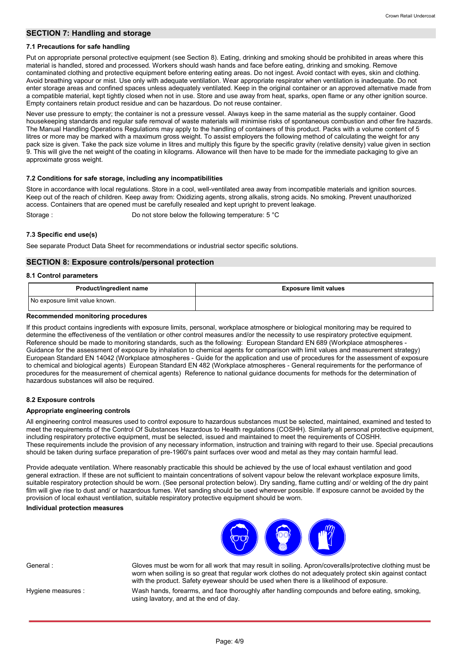#### **SECTION 7: Handling and storage**

#### **7.1 Precautions for safe handling**

Put on appropriate personal protective equipment (see Section 8). Eating, drinking and smoking should be prohibited in areas where this material is handled, stored and processed. Workers should wash hands and face before eating, drinking and smoking. Remove contaminated clothing and protective equipment before entering eating areas. Do not ingest. Avoid contact with eyes, skin and clothing. Avoid breathing vapour or mist. Use only with adequate ventilation. Wear appropriate respirator when ventilation is inadequate. Do not enter storage areas and confined spaces unless adequately ventilated. Keep in the original container or an approved alternative made from a compatible material, kept tightly closed when not in use. Store and use away from heat, sparks, open flame or any other ignition source. Empty containers retain product residue and can be hazardous. Do not reuse container.

Never use pressure to empty; the container is not a pressure vessel. Always keep in the same material as the supply container. Good housekeeping standards and regular safe removal of waste materials will minimise risks of spontaneous combustion and other fire hazards. The Manual Handling Operations Regulations may apply to the handling of containers of this product. Packs with a volume content of 5 litres or more may be marked with a maximum gross weight. To assist employers the following method of calculating the weight for any pack size is given. Take the pack size volume in litres and multiply this figure by the specific gravity (relative density) value given in section 9. This will give the net weight of the coating in kilograms. Allowance will then have to be made for the immediate packaging to give an approximate gross weight.

#### **7.2 Conditions for safe storage, including any incompatibilities**

Store in accordance with local regulations. Store in a cool, well-ventilated area away from incompatible materials and ignition sources. Keep out of the reach of children. Keep away from: Oxidizing agents, strong alkalis, strong acids. No smoking. Prevent unauthorized access. Containers that are opened must be carefully resealed and kept upright to prevent leakage. Storage : Do not store below the following temperature: 5 °C

**7.3 Specific end use(s)**

See separate Product Data Sheet for recommendations or industrial sector specific solutions.

#### **SECTION 8: Exposure controls/personal protection**

#### **8.1 Control parameters**

| Product/ingredient name        | <b>Exposure limit values</b> |
|--------------------------------|------------------------------|
| No exposure limit value known. |                              |

#### **Recommended monitoring procedures**

If this product contains ingredients with exposure limits, personal, workplace atmosphere or biological monitoring may be required to determine the effectiveness of the ventilation or other control measures and/or the necessity to use respiratory protective equipment. Reference should be made to monitoring standards, such as the following: European Standard EN 689 (Workplace atmospheres - Guidance for the assessment of exposure by inhalation to chemical agents for comparison with limit values and measurement strategy) European Standard EN 14042 (Workplace atmospheres - Guide for the application and use of procedures for the assessment of exposure to chemical and biological agents) European Standard EN 482 (Workplace atmospheres - General requirements for the performance of procedures for the measurement of chemical agents) Reference to national guidance documents for methods for the determination of hazardous substances will also be required.

#### **8.2 Exposure controls**

#### **Appropriate engineering controls**

All engineering control measures used to control exposure to hazardous substances must be selected, maintained, examined and tested to meet the requirements of the Control Of Substances Hazardous to Health regulations (COSHH). Similarly all personal protective equipment, including respiratory protective equipment, must be selected, issued and maintained to meet the requirements of COSHH. These requirements include the provision of any necessary information, instruction and training with regard to their use. Special precautions should be taken during surface preparation of pre-1960's paint surfaces over wood and metal as they may contain harmful lead.

Provide adequate ventilation. Where reasonably practicable this should be achieved by the use of local exhaust ventilation and good general extraction. If these are not sufficient to maintain concentrations of solvent vapour below the relevant workplace exposure limits, suitable respiratory protection should be worn. (See personal protection below). Dry sanding, flame cutting and/ or welding of the dry paint film will give rise to dust and/ or hazardous fumes. Wet sanding should be used wherever possible. If exposure cannot be avoided by the provision of local exhaust ventilation, suitable respiratory protective equipment should be worn.

#### **Individual protection measures**



General : Gloves must be worn for all work that may result in soiling. Apron/coveralls/protective clothing must be worn when soiling is so great that regular work clothes do not adequately protect skin against contact with the product. Safety eyewear should be used when there is a likelihood of exposure.

Hygiene measures :

Wash hands, forearms, and face thoroughly after handling compounds and before eating, smoking, using lavatory, and at the end of day.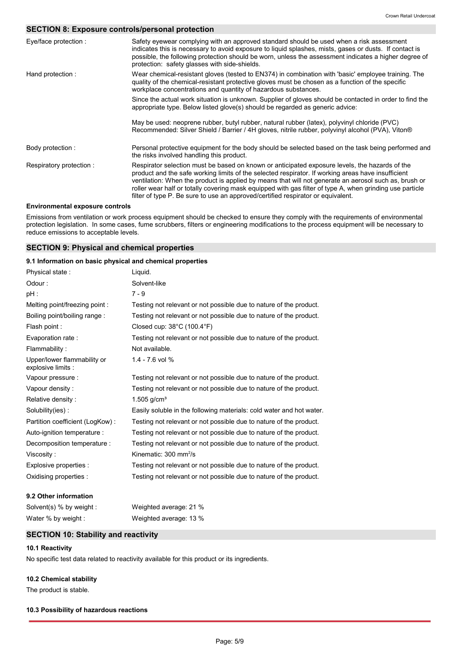# **SECTION 8: Exposure controls/personal protection**

| Eye/face protection :                  | Safety eyewear complying with an approved standard should be used when a risk assessment<br>indicates this is necessary to avoid exposure to liquid splashes, mists, gases or dusts. If contact is<br>possible, the following protection should be worn, unless the assessment indicates a higher degree of<br>protection: safety glasses with side-shields.                                                                                                                                                  |
|----------------------------------------|---------------------------------------------------------------------------------------------------------------------------------------------------------------------------------------------------------------------------------------------------------------------------------------------------------------------------------------------------------------------------------------------------------------------------------------------------------------------------------------------------------------|
| Hand protection:                       | Wear chemical-resistant gloves (tested to EN374) in combination with 'basic' employee training. The<br>quality of the chemical-resistant protective gloves must be chosen as a function of the specific<br>workplace concentrations and quantity of hazardous substances.                                                                                                                                                                                                                                     |
|                                        | Since the actual work situation is unknown. Supplier of gloves should be contacted in order to find the<br>appropriate type. Below listed glove(s) should be regarded as generic advice:                                                                                                                                                                                                                                                                                                                      |
|                                        | May be used: neoprene rubber, butyl rubber, natural rubber (latex), polyvinyl chloride (PVC)<br>Recommended: Silver Shield / Barrier / 4H gloves, nitrile rubber, polyvinyl alcohol (PVA), Viton®                                                                                                                                                                                                                                                                                                             |
| Body protection :                      | Personal protective equipment for the body should be selected based on the task being performed and<br>the risks involved handling this product.                                                                                                                                                                                                                                                                                                                                                              |
| Respiratory protection:                | Respirator selection must be based on known or anticipated exposure levels, the hazards of the<br>product and the safe working limits of the selected respirator. If working areas have insufficient<br>ventilation: When the product is applied by means that will not generate an aerosol such as, brush or<br>roller wear half or totally covering mask equipped with gas filter of type A, when grinding use particle<br>filter of type P. Be sure to use an approved/certified respirator or equivalent. |
| <b>Environmental exposure controls</b> |                                                                                                                                                                                                                                                                                                                                                                                                                                                                                                               |

Emissions from ventilation or work process equipment should be checked to ensure they comply with the requirements of environmental protection legislation. In some cases, fume scrubbers, filters or engineering modifications to the process equipment will be necessary to reduce emissions to acceptable levels.

# **SECTION 9: Physical and chemical properties**

#### **9.1 Information on basic physical and chemical properties**

| Physical state:                                   | Liguid.                                                              |
|---------------------------------------------------|----------------------------------------------------------------------|
| Odour:                                            | Solvent-like                                                         |
| pH :                                              | $7 - 9$                                                              |
| Melting point/freezing point:                     | Testing not relevant or not possible due to nature of the product.   |
| Boiling point/boiling range:                      | Testing not relevant or not possible due to nature of the product.   |
| Flash point:                                      | Closed cup: $38^{\circ}$ C (100.4 $^{\circ}$ F)                      |
| Evaporation rate:                                 | Testing not relevant or not possible due to nature of the product.   |
| Flammability:                                     | Not available.                                                       |
| Upper/lower flammability or<br>explosive limits : | 1.4 - 7.6 vol %                                                      |
| Vapour pressure :                                 | Testing not relevant or not possible due to nature of the product.   |
| Vapour density:                                   | Testing not relevant or not possible due to nature of the product.   |
| Relative density:                                 | 1.505 $q/cm^{3}$                                                     |
| Solubility(ies):                                  | Easily soluble in the following materials: cold water and hot water. |
| Partition coefficient (LogKow):                   | Testing not relevant or not possible due to nature of the product.   |
| Auto-ignition temperature :                       | Testing not relevant or not possible due to nature of the product.   |
| Decomposition temperature :                       | Testing not relevant or not possible due to nature of the product.   |
| Viscosity:                                        | Kinematic: $300 \text{ mm}^2/\text{s}$                               |
| Explosive properties :                            | Testing not relevant or not possible due to nature of the product.   |
| Oxidising properties :                            | Testing not relevant or not possible due to nature of the product.   |
| 9.2 Other information                             |                                                                      |
| Solvent(s) % by weight :                          | Weighted average: 21 %                                               |

# **SECTION 10: Stability and reactivity**

Water % by weight : Weighted average: 13 %

### **10.1 Reactivity**

No specific test data related to reactivity available for this product or its ingredients.

# **10.2 Chemical stability**

The product is stable.

#### **10.3 Possibility of hazardous reactions**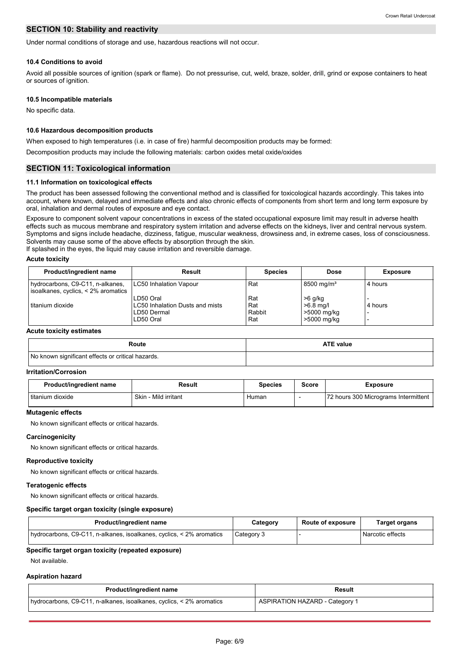# **SECTION 10: Stability and reactivity**

Under normal conditions of storage and use, hazardous reactions will not occur.

#### **10.4 Conditions to avoid**

Avoid all possible sources of ignition (spark or flame). Do not pressurise, cut, weld, braze, solder, drill, grind or expose containers to heat or sources of ignition.

#### **10.5 Incompatible materials**

No specific data.

#### **10.6 Hazardous decomposition products**

When exposed to high temperatures (i.e. in case of fire) harmful decomposition products may be formed:

Decomposition products may include the following materials: carbon oxides metal oxide/oxides

# **SECTION 11: Toxicological information**

#### **11.1 Information on toxicological effects**

The product has been assessed following the conventional method and is classified for toxicological hazards accordingly. This takes into account, where known, delayed and immediate effects and also chronic effects of components from short term and long term exposure by oral, inhalation and dermal routes of exposure and eye contact.

Exposure to component solvent vapour concentrations in excess of the stated occupational exposure limit may result in adverse health effects such as mucous membrane and respiratory system irritation and adverse effects on the kidneys, liver and central nervous system. Symptoms and signs include headache, dizziness, fatigue, muscular weakness, drowsiness and, in extreme cases, loss of consciousness. Solvents may cause some of the above effects by absorption through the skin.

If splashed in the eyes, the liquid may cause irritation and reversible damage.

#### **Acute toxicity**

| Product/ingredient name                                                 | Result                          | <b>Species</b> | Dose                     | <b>Exposure</b> |
|-------------------------------------------------------------------------|---------------------------------|----------------|--------------------------|-----------------|
| hydrocarbons, C9-C11, n-alkanes,<br>isoalkanes, cyclics, < 2% aromatics | LC50 Inhalation Vapour          | Rat            | $8500 \,\mathrm{mq/m^3}$ | 4 hours         |
|                                                                         | LD50 Oral                       | Rat            | $>6$ g/kg                |                 |
| l titanium dioxide                                                      | LC50 Inhalation Dusts and mists | Rat            | $>6.8$ mg/l              | 4 hours         |
|                                                                         | LD50 Dermal                     | Rabbit         | >5000 mg/kg              |                 |
|                                                                         | LD50 Oral                       | Rat            | >5000 mg/kg              |                 |

#### **Acute toxicity estimates**

| Route                                             | <b>ATE value</b> |  |  |  |
|---------------------------------------------------|------------------|--|--|--|
| No known significant effects or critical hazards. |                  |  |  |  |

#### **Irritation/Corrosion**

| Product/ingredient name<br>Result |                           | <b>Species</b> | Score | Exposure                             |
|-----------------------------------|---------------------------|----------------|-------|--------------------------------------|
| titanium dioxide                  | Skin<br>. - Mild irritant | Human          |       | 72 hours 300 Micrograms Intermittent |

#### **Mutagenic effects**

No known significant effects or critical hazards.

#### **Carcinogenicity**

No known significant effects or critical hazards.

# **Reproductive toxicity**

No known significant effects or critical hazards.

#### **Teratogenic effects**

No known significant effects or critical hazards.

#### **Specific target organ toxicity (single exposure)**

| Product/ingredient name                                              | Category   | <b>Route of exposure</b> | Target organs    |
|----------------------------------------------------------------------|------------|--------------------------|------------------|
| hydrocarbons, C9-C11, n-alkanes, isoalkanes, cyclics, < 2% aromatics | Category 3 |                          | Narcotic effects |

#### **Specific target organ toxicity (repeated exposure)**

Not available.

#### **Aspiration hazard**

| Product/ingredient name                                              | <b>Result</b>                         |  |  |  |
|----------------------------------------------------------------------|---------------------------------------|--|--|--|
| hydrocarbons, C9-C11, n-alkanes, isoalkanes, cyclics, < 2% aromatics | <b>ASPIRATION HAZARD - Category 1</b> |  |  |  |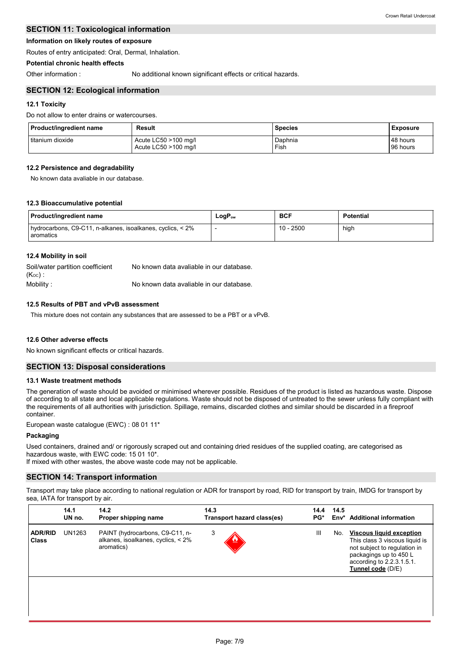# **SECTION 11: Toxicological information**

# **Information on likely routes of exposure**

Routes of entry anticipated: Oral, Dermal, Inhalation.

# **Potential chronic health effects**

Other information : No additional known significant effects or critical hazards.

# **SECTION 12: Ecological information**

# **12.1 Toxicity**

Do not allow to enter drains or watercourses.

| Product/ingredient name | Result               | <b>Species</b> | <b>Exposure</b> |  |
|-------------------------|----------------------|----------------|-----------------|--|
| I titanium dioxide      | Acute LC50 >100 mg/l | Daphnia        | 48 hours        |  |
|                         | Acute LC50 >100 mg/l | Fish           | 96 hours        |  |

# **12.2 Persistence and degradability**

No known data avaliable in our database.

### **12.3 Bioaccumulative potential**

| Product/ingredient name                                                 | LogP <sub>ow</sub> | <b>BCF</b>  | <b>Potential</b> |
|-------------------------------------------------------------------------|--------------------|-------------|------------------|
| hydrocarbons, C9-C11, n-alkanes, isoalkanes, cyclics, < 2%<br>aromatics |                    | $10 - 2500$ | high             |

### **12.4 Mobility in soil**

| Soil/water partition coefficient<br>$(K_{OC})$ : | No known data avaliable in our database. |
|--------------------------------------------------|------------------------------------------|
| Mobility:                                        | No known data avaliable in our database. |

# **12.5 Results of PBT and vPvB assessment**

This mixture does not contain any substances that are assessed to be a PBT or a vPvB.

### **12.6 Other adverse effects**

No known significant effects or critical hazards.

### **SECTION 13: Disposal considerations**

### **13.1 Waste treatment methods**

The generation of waste should be avoided or minimised wherever possible. Residues of the product is listed as hazardous waste. Dispose of according to all state and local applicable regulations. Waste should not be disposed of untreated to the sewer unless fully compliant with the requirements of all authorities with jurisdiction. Spillage, remains, discarded clothes and similar should be discarded in a fireproof container.

European waste catalogue (EWC) : 08 01 11\*

### **Packaging**

Used containers, drained and/ or rigorously scraped out and containing dried residues of the supplied coating, are categorised as hazardous waste, with EWC code: 15 01 10\*.

If mixed with other wastes, the above waste code may not be applicable.

# **SECTION 14: Transport information**

Transport may take place according to national regulation or ADR for transport by road, RID for transport by train, IMDG for transport by sea, IATA for transport by air.

| 14.1<br>14.2<br>UN no.<br>Proper shipping name |        |                                                                                     | 14.3<br>Transport hazard class(es) | 14.4<br>PG* | 14.5<br>Env* | <b>Additional information</b>                                                                                                                                                 |  |
|------------------------------------------------|--------|-------------------------------------------------------------------------------------|------------------------------------|-------------|--------------|-------------------------------------------------------------------------------------------------------------------------------------------------------------------------------|--|
| <b>ADR/RID</b><br><b>Class</b>                 | UN1263 | PAINT (hydrocarbons, C9-C11, n-<br>alkanes, isoalkanes, cyclics, < 2%<br>aromatics) | 3                                  | Ш           | No.          | <b>Viscous liquid exception</b><br>This class 3 viscous liquid is<br>not subject to regulation in<br>packagings up to 450 L<br>according to 2.2.3.1.5.1.<br>Tunnel code (D/E) |  |
|                                                |        |                                                                                     |                                    |             |              |                                                                                                                                                                               |  |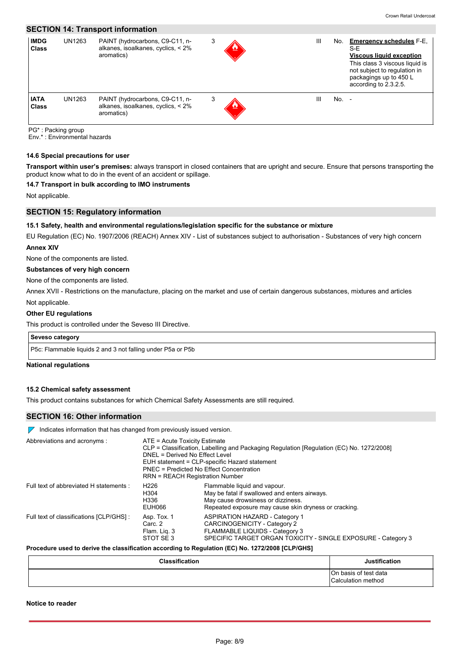# **SECTION 14: Transport information**

| <b>IMDG</b><br><b>Class</b> | UN1263 | PAINT (hydrocarbons, C9-C11, n-<br>alkanes, isoalkanes, cyclics, < 2%<br>aromatics) | 3 | Ш | No.     | <b>Emergency schedules F-E,</b><br>$S-E$<br><b>Viscous liquid exception</b><br>This class 3 viscous liquid is<br>not subject to regulation in<br>packagings up to 450 L<br>according to 2.3.2.5. |
|-----------------------------|--------|-------------------------------------------------------------------------------------|---|---|---------|--------------------------------------------------------------------------------------------------------------------------------------------------------------------------------------------------|
| <b>IATA</b><br><b>Class</b> | UN1263 | PAINT (hydrocarbons, C9-C11, n-<br>alkanes, isoalkanes, cyclics, < 2%<br>aromatics) | 3 | Ш | $No. -$ |                                                                                                                                                                                                  |

cking grou

Env.\* : Environmental hazards

# **14.6 Special precautions for user**

**Transport within user's premises:** always transport in closed containers that are upright and secure. Ensure that persons transporting the product know what to do in the event of an accident or spillage.

### **14.7 Transport in bulk according to IMO instruments**

Not applicable.

# **SECTION 15: Regulatory information**

#### **15.1 Safety, health and environmental regulations/legislation specific for the substance or mixture**

EU Regulation (EC) No. 1907/2006 (REACH) Annex XIV - List of substances subject to authorisation - Substances of very high concern

# **Annex XIV**

None of the components are listed.

# **Substances of very high concern**

None of the components are listed.

Not applicable. Annex XVII - Restrictions on the manufacture, placing on the market and use of certain dangerous substances, mixtures and articles

#### **Other EU regulations**

This product is controlled under the Seveso III Directive.

# **Seveso category**

P5c: Flammable liquids 2 and 3 not falling under P5a or P5b

#### **National regulations**

#### **15.2 Chemical safety assessment**

This product contains substances for which Chemical Safety Assessments are still required.

# **SECTION 16: Other information**

 $\nabla$  Indicates information that has changed from previously issued version.

| Abbreviations and acronyms :             | ATE = Acute Toxicity Estimate<br>CLP = Classification, Labelling and Packaging Regulation [Regulation (EC) No. 1272/2008]<br>DNEL = Derived No Effect Level<br>EUH statement = CLP-specific Hazard statement<br>PNEC = Predicted No Effect Concentration<br>RRN = REACH Registration Number |                                                                                                                                                                              |  |  |  |
|------------------------------------------|---------------------------------------------------------------------------------------------------------------------------------------------------------------------------------------------------------------------------------------------------------------------------------------------|------------------------------------------------------------------------------------------------------------------------------------------------------------------------------|--|--|--|
| Full text of abbreviated H statements :  | H <sub>226</sub><br>H304<br>H336<br>EUH066                                                                                                                                                                                                                                                  | Flammable liquid and vapour.<br>May be fatal if swallowed and enters airways.<br>May cause drowsiness or dizziness.<br>Repeated exposure may cause skin dryness or cracking. |  |  |  |
| Full text of classifications [CLP/GHS] : | Asp. Tox. 1<br>Carc. 2<br>Flam. Lig. 3<br>STOT SE3                                                                                                                                                                                                                                          | ASPIRATION HAZARD - Category 1<br>CARCINOGENICITY - Category 2<br>FLAMMABLE LIQUIDS - Category 3<br>SPECIFIC TARGET ORGAN TOXICITY - SINGLE EXPOSURE - Category 3            |  |  |  |

#### **Procedure used to derive the classification according to Regulation (EC) No. 1272/2008 [CLP/GHS]**

| <b>Classification</b> | <b>Justification</b>                        |
|-----------------------|---------------------------------------------|
|                       | On basis of test data<br>Calculation method |

**Notice to reader**